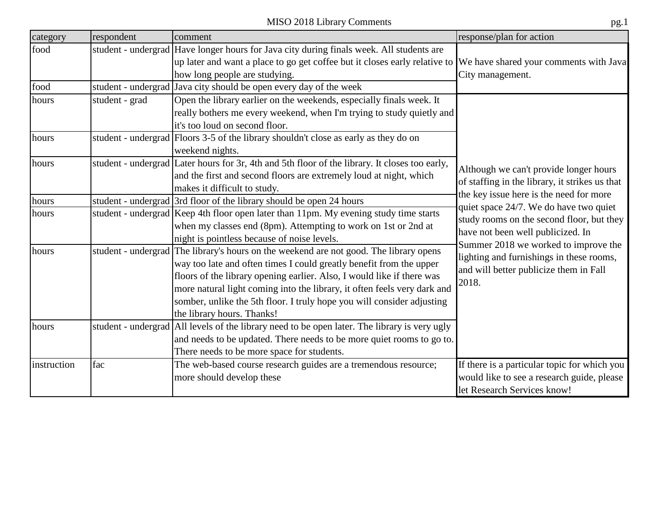| category    | respondent     | comment                                                                                                           | response/plan for action                                                                                               |
|-------------|----------------|-------------------------------------------------------------------------------------------------------------------|------------------------------------------------------------------------------------------------------------------------|
| food        |                | student - undergrad Have longer hours for Java city during finals week. All students are                          |                                                                                                                        |
|             |                | up later and want a place to go get coffee but it closes early relative to We have shared your comments with Java |                                                                                                                        |
|             |                | how long people are studying.                                                                                     | City management.                                                                                                       |
| food        |                | student - undergrad Java city should be open every day of the week                                                |                                                                                                                        |
| hours       | student - grad | Open the library earlier on the weekends, especially finals week. It                                              |                                                                                                                        |
|             |                | really bothers me every weekend, when I'm trying to study quietly and                                             |                                                                                                                        |
|             |                | it's too loud on second floor.                                                                                    |                                                                                                                        |
| hours       |                | student - undergrad Floors 3-5 of the library shouldn't close as early as they do on                              |                                                                                                                        |
|             |                | weekend nights.                                                                                                   |                                                                                                                        |
| hours       |                | student - undergrad Later hours for 3r, 4th and 5th floor of the library. It closes too early,                    | Although we can't provide longer hours                                                                                 |
|             |                | and the first and second floors are extremely loud at night, which                                                | of staffing in the library, it strikes us that                                                                         |
|             |                | makes it difficult to study.                                                                                      | the key issue here is the need for more                                                                                |
| hours       |                | student - undergrad 3rd floor of the library should be open 24 hours                                              | quiet space 24/7. We do have two quiet                                                                                 |
| hours       |                | student - undergrad Keep 4th floor open later than 11pm. My evening study time starts                             | study rooms on the second floor, but they<br>have not been well publicized. In<br>Summer 2018 we worked to improve the |
|             |                | when my classes end (8pm). Attempting to work on 1st or 2nd at                                                    |                                                                                                                        |
|             |                | night is pointless because of noise levels.                                                                       |                                                                                                                        |
| hours       |                | student - undergrad The library's hours on the weekend are not good. The library opens                            | lighting and furnishings in these rooms,                                                                               |
|             |                | way too late and often times I could greatly benefit from the upper                                               | and will better publicize them in Fall                                                                                 |
|             |                | floors of the library opening earlier. Also, I would like if there was                                            | 2018.                                                                                                                  |
|             |                | more natural light coming into the library, it often feels very dark and                                          |                                                                                                                        |
|             |                | somber, unlike the 5th floor. I truly hope you will consider adjusting                                            |                                                                                                                        |
|             |                | the library hours. Thanks!                                                                                        |                                                                                                                        |
| hours       |                | student - undergrad All levels of the library need to be open later. The library is very ugly                     |                                                                                                                        |
|             |                | and needs to be updated. There needs to be more quiet rooms to go to.                                             |                                                                                                                        |
|             |                | There needs to be more space for students.                                                                        |                                                                                                                        |
| instruction | fac            | The web-based course research guides are a tremendous resource;                                                   | If there is a particular topic for which you                                                                           |
|             |                | more should develop these                                                                                         | would like to see a research guide, please                                                                             |
|             |                |                                                                                                                   | let Research Services know!                                                                                            |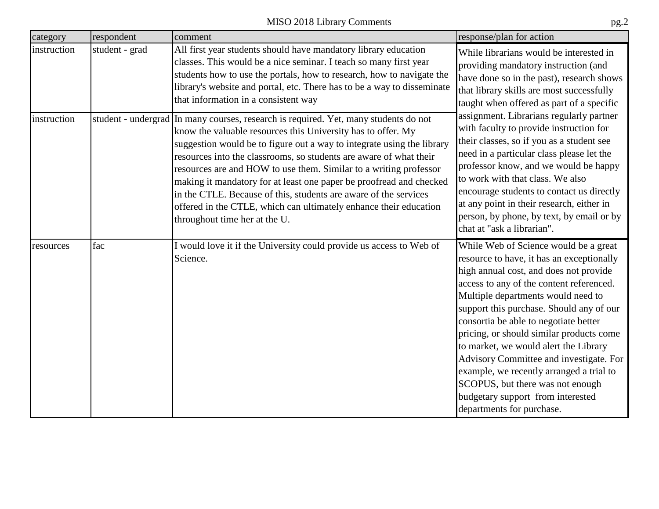| category    | respondent     | comment                                                                                                                                                                                                                                                                                                                                                                                                                                                                                                                                                                                                                    | response/plan for action                                                                                                                                                                                                                                                                                                                                                                                                                                                                                                                                                                                                                                                                                                                                                                                                                                                                                                                                                                                                                                                                                                                                                                                                                           |
|-------------|----------------|----------------------------------------------------------------------------------------------------------------------------------------------------------------------------------------------------------------------------------------------------------------------------------------------------------------------------------------------------------------------------------------------------------------------------------------------------------------------------------------------------------------------------------------------------------------------------------------------------------------------------|----------------------------------------------------------------------------------------------------------------------------------------------------------------------------------------------------------------------------------------------------------------------------------------------------------------------------------------------------------------------------------------------------------------------------------------------------------------------------------------------------------------------------------------------------------------------------------------------------------------------------------------------------------------------------------------------------------------------------------------------------------------------------------------------------------------------------------------------------------------------------------------------------------------------------------------------------------------------------------------------------------------------------------------------------------------------------------------------------------------------------------------------------------------------------------------------------------------------------------------------------|
| instruction | student - grad | All first year students should have mandatory library education<br>classes. This would be a nice seminar. I teach so many first year<br>students how to use the portals, how to research, how to navigate the<br>library's website and portal, etc. There has to be a way to disseminate<br>that information in a consistent way                                                                                                                                                                                                                                                                                           | While librarians would be interested in<br>providing mandatory instruction (and<br>have done so in the past), research shows<br>that library skills are most successfully<br>taught when offered as part of a specific<br>assignment. Librarians regularly partner<br>with faculty to provide instruction for<br>their classes, so if you as a student see<br>need in a particular class please let the<br>professor know, and we would be happy<br>to work with that class. We also<br>encourage students to contact us directly<br>at any point in their research, either in<br>person, by phone, by text, by email or by<br>chat at "ask a librarian".<br>While Web of Science would be a great<br>resource to have, it has an exceptionally<br>high annual cost, and does not provide<br>access to any of the content referenced.<br>Multiple departments would need to<br>support this purchase. Should any of our<br>consortia be able to negotiate better<br>pricing, or should similar products come<br>to market, we would alert the Library<br>Advisory Committee and investigate. For<br>example, we recently arranged a trial to<br>SCOPUS, but there was not enough<br>budgetary support from interested<br>departments for purchase. |
| instruction |                | student - undergrad In many courses, research is required. Yet, many students do not<br>know the valuable resources this University has to offer. My<br>suggestion would be to figure out a way to integrate using the library<br>resources into the classrooms, so students are aware of what their<br>resources are and HOW to use them. Similar to a writing professor<br>making it mandatory for at least one paper be proofread and checked<br>in the CTLE. Because of this, students are aware of the services<br>offered in the CTLE, which can ultimately enhance their education<br>throughout time her at the U. |                                                                                                                                                                                                                                                                                                                                                                                                                                                                                                                                                                                                                                                                                                                                                                                                                                                                                                                                                                                                                                                                                                                                                                                                                                                    |
| resources   | fac            | I would love it if the University could provide us access to Web of<br>Science.                                                                                                                                                                                                                                                                                                                                                                                                                                                                                                                                            |                                                                                                                                                                                                                                                                                                                                                                                                                                                                                                                                                                                                                                                                                                                                                                                                                                                                                                                                                                                                                                                                                                                                                                                                                                                    |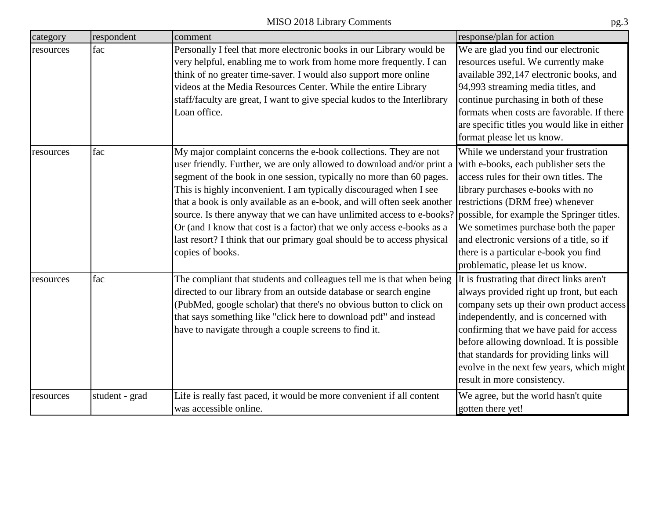| category  | respondent     | comment                                                                                                                                                                                                                                                                                                                                                                                                                                                                                                                                                                                                                                                                                           | response/plan for action                                                                                                                                                                                                                                                                                                                                                                 |
|-----------|----------------|---------------------------------------------------------------------------------------------------------------------------------------------------------------------------------------------------------------------------------------------------------------------------------------------------------------------------------------------------------------------------------------------------------------------------------------------------------------------------------------------------------------------------------------------------------------------------------------------------------------------------------------------------------------------------------------------------|------------------------------------------------------------------------------------------------------------------------------------------------------------------------------------------------------------------------------------------------------------------------------------------------------------------------------------------------------------------------------------------|
| resources | fac            | Personally I feel that more electronic books in our Library would be<br>very helpful, enabling me to work from home more frequently. I can<br>think of no greater time-saver. I would also support more online<br>videos at the Media Resources Center. While the entire Library<br>staff/faculty are great, I want to give special kudos to the Interlibrary<br>Loan office.                                                                                                                                                                                                                                                                                                                     | We are glad you find our electronic<br>resources useful. We currently make<br>available 392,147 electronic books, and<br>94,993 streaming media titles, and<br>continue purchasing in both of these<br>formats when costs are favorable. If there<br>are specific titles you would like in either<br>format please let us know.                                                          |
| resources | fac            | My major complaint concerns the e-book collections. They are not<br>user friendly. Further, we are only allowed to download and/or print a<br>segment of the book in one session, typically no more than 60 pages.<br>This is highly inconvenient. I am typically discouraged when I see<br>that a book is only available as an e-book, and will often seek another restrictions (DRM free) whenever<br>source. Is there anyway that we can have unlimited access to e-books? possible, for example the Springer titles.<br>Or (and I know that cost is a factor) that we only access e-books as a<br>last resort? I think that our primary goal should be to access physical<br>copies of books. | While we understand your frustration<br>with e-books, each publisher sets the<br>access rules for their own titles. The<br>library purchases e-books with no<br>We sometimes purchase both the paper<br>and electronic versions of a title, so if<br>there is a particular e-book you find<br>problematic, please let us know.                                                           |
| resources | fac            | The compliant that students and colleagues tell me is that when being<br>directed to our library from an outside database or search engine<br>(PubMed, google scholar) that there's no obvious button to click on<br>that says something like "click here to download pdf" and instead<br>have to navigate through a couple screens to find it.                                                                                                                                                                                                                                                                                                                                                   | It is frustrating that direct links aren't<br>always provided right up front, but each<br>company sets up their own product access<br>independently, and is concerned with<br>confirming that we have paid for access<br>before allowing download. It is possible<br>that standards for providing links will<br>evolve in the next few years, which might<br>result in more consistency. |
| resources | student - grad | Life is really fast paced, it would be more convenient if all content<br>was accessible online.                                                                                                                                                                                                                                                                                                                                                                                                                                                                                                                                                                                                   | We agree, but the world hasn't quite<br>gotten there yet!                                                                                                                                                                                                                                                                                                                                |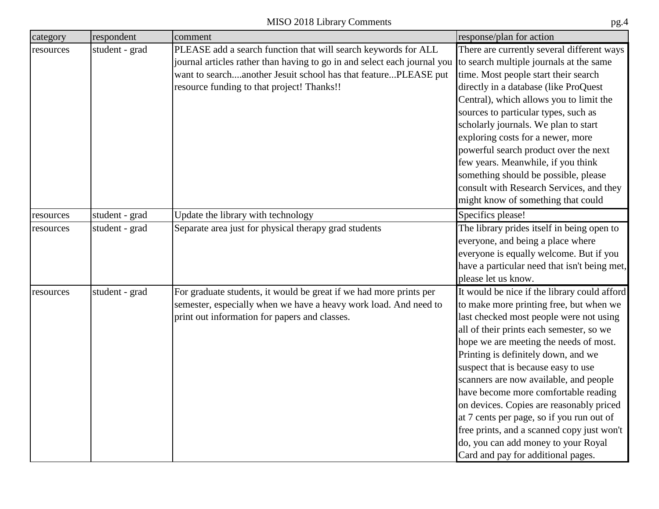| category  | respondent     | comment                                                                                                                                                                                                                                                    | response/plan for action                                                                                                                                                                                                                                                                                                                                                                                                                                                                                                                                                                                     |
|-----------|----------------|------------------------------------------------------------------------------------------------------------------------------------------------------------------------------------------------------------------------------------------------------------|--------------------------------------------------------------------------------------------------------------------------------------------------------------------------------------------------------------------------------------------------------------------------------------------------------------------------------------------------------------------------------------------------------------------------------------------------------------------------------------------------------------------------------------------------------------------------------------------------------------|
| resources | student - grad | PLEASE add a search function that will search keywords for ALL<br>journal articles rather than having to go in and select each journal you<br>want to searchanother Jesuit school has that featurePLEASE put<br>resource funding to that project! Thanks!! | There are currently several different ways<br>to search multiple journals at the same<br>time. Most people start their search<br>directly in a database (like ProQuest<br>Central), which allows you to limit the<br>sources to particular types, such as<br>scholarly journals. We plan to start<br>exploring costs for a newer, more<br>powerful search product over the next<br>few years. Meanwhile, if you think<br>something should be possible, please<br>consult with Research Services, and they<br>might know of something that could                                                              |
| resources | student - grad | Update the library with technology                                                                                                                                                                                                                         | Specifics please!                                                                                                                                                                                                                                                                                                                                                                                                                                                                                                                                                                                            |
| resources | student - grad | Separate area just for physical therapy grad students                                                                                                                                                                                                      | The library prides itself in being open to<br>everyone, and being a place where<br>everyone is equally welcome. But if you<br>have a particular need that isn't being met,<br>please let us know.                                                                                                                                                                                                                                                                                                                                                                                                            |
| resources | student - grad | For graduate students, it would be great if we had more prints per<br>semester, especially when we have a heavy work load. And need to<br>print out information for papers and classes.                                                                    | It would be nice if the library could afford<br>to make more printing free, but when we<br>last checked most people were not using<br>all of their prints each semester, so we<br>hope we are meeting the needs of most.<br>Printing is definitely down, and we<br>suspect that is because easy to use<br>scanners are now available, and people<br>have become more comfortable reading<br>on devices. Copies are reasonably priced<br>at 7 cents per page, so if you run out of<br>free prints, and a scanned copy just won't<br>do, you can add money to your Royal<br>Card and pay for additional pages. |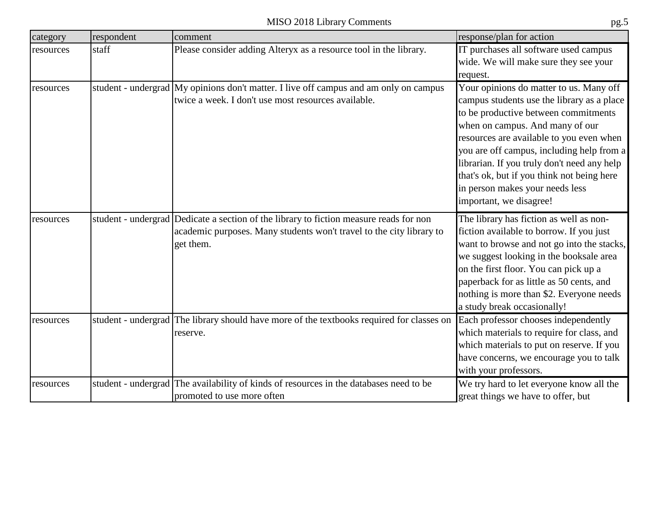| category  | respondent | comment                                                                                                                                                                     | response/plan for action                                                                                                                                                                                                                                                                                                                                                                                             |
|-----------|------------|-----------------------------------------------------------------------------------------------------------------------------------------------------------------------------|----------------------------------------------------------------------------------------------------------------------------------------------------------------------------------------------------------------------------------------------------------------------------------------------------------------------------------------------------------------------------------------------------------------------|
| resources | staff      | Please consider adding Alteryx as a resource tool in the library.                                                                                                           | IT purchases all software used campus<br>wide. We will make sure they see your<br>request.                                                                                                                                                                                                                                                                                                                           |
| resources |            | student - undergrad My opinions don't matter. I live off campus and am only on campus<br>twice a week. I don't use most resources available.                                | Your opinions do matter to us. Many off<br>campus students use the library as a place<br>to be productive between commitments<br>when on campus. And many of our<br>resources are available to you even when<br>you are off campus, including help from a<br>librarian. If you truly don't need any help<br>that's ok, but if you think not being here<br>in person makes your needs less<br>important, we disagree! |
| resources |            | student - undergrad Dedicate a section of the library to fiction measure reads for non<br>academic purposes. Many students won't travel to the city library to<br>get them. | The library has fiction as well as non-<br>fiction available to borrow. If you just<br>want to browse and not go into the stacks,<br>we suggest looking in the booksale area<br>on the first floor. You can pick up a<br>paperback for as little as 50 cents, and<br>nothing is more than \$2. Everyone needs<br>a study break occasionally!                                                                         |
| resources |            | student - undergrad The library should have more of the textbooks required for classes on<br>reserve.                                                                       | Each professor chooses independently<br>which materials to require for class, and<br>which materials to put on reserve. If you<br>have concerns, we encourage you to talk<br>with your professors.                                                                                                                                                                                                                   |
| resources |            | student - undergrad The availability of kinds of resources in the databases need to be<br>promoted to use more often                                                        | We try hard to let everyone know all the<br>great things we have to offer, but                                                                                                                                                                                                                                                                                                                                       |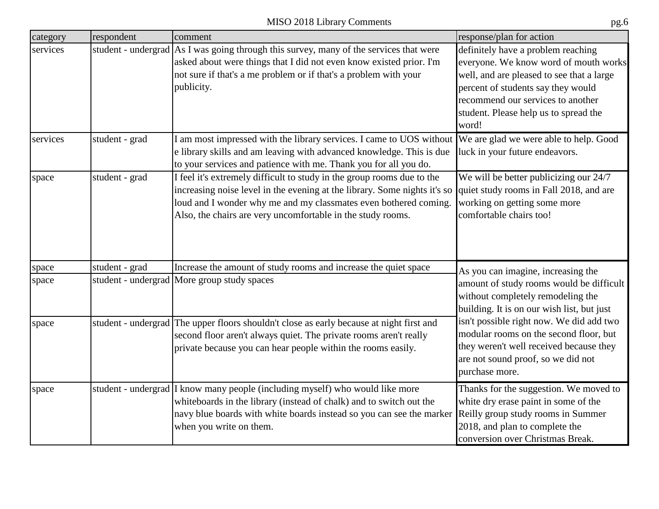|          | MISO 2018 Library Comments<br>pg. <sub>b</sub> |                                                                                                                                                                                                                                                                                                                                |                                                                                                                                                                                                                                                       |
|----------|------------------------------------------------|--------------------------------------------------------------------------------------------------------------------------------------------------------------------------------------------------------------------------------------------------------------------------------------------------------------------------------|-------------------------------------------------------------------------------------------------------------------------------------------------------------------------------------------------------------------------------------------------------|
| category | respondent                                     | comment                                                                                                                                                                                                                                                                                                                        | response/plan for action                                                                                                                                                                                                                              |
| services |                                                | student - undergrad As I was going through this survey, many of the services that were<br>asked about were things that I did not even know existed prior. I'm<br>not sure if that's a me problem or if that's a problem with your<br>publicity.                                                                                | definitely have a problem reaching<br>everyone. We know word of mouth works<br>well, and are pleased to see that a large<br>percent of students say they would<br>recommend our services to another<br>student. Please help us to spread the<br>word! |
| services | student - grad                                 | I am most impressed with the library services. I came to UOS without We are glad we were able to help. Good<br>e library skills and am leaving with advanced knowledge. This is due<br>to your services and patience with me. Thank you for all you do.                                                                        | luck in your future endeavors.                                                                                                                                                                                                                        |
| space    | student - grad                                 | I feel it's extremely difficult to study in the group rooms due to the<br>increasing noise level in the evening at the library. Some nights it's so quiet study rooms in Fall 2018, and are<br>loud and I wonder why me and my classmates even bothered coming.<br>Also, the chairs are very uncomfortable in the study rooms. | We will be better publicizing our 24/7<br>working on getting some more<br>comfortable chairs too!                                                                                                                                                     |
| space    | student - grad                                 | Increase the amount of study rooms and increase the quiet space                                                                                                                                                                                                                                                                | As you can imagine, increasing the                                                                                                                                                                                                                    |
| space    |                                                | student - undergrad More group study spaces                                                                                                                                                                                                                                                                                    | amount of study rooms would be difficult<br>without completely remodeling the<br>building. It is on our wish list, but just                                                                                                                           |
| space    |                                                | student - undergrad The upper floors shouldn't close as early because at night first and<br>second floor aren't always quiet. The private rooms aren't really<br>private because you can hear people within the rooms easily.                                                                                                  | isn't possible right now. We did add two<br>modular rooms on the second floor, but<br>they weren't well received because they<br>are not sound proof, so we did not<br>purchase more.                                                                 |
| space    |                                                | student - undergrad I know many people (including myself) who would like more<br>whiteboards in the library (instead of chalk) and to switch out the<br>navy blue boards with white boards instead so you can see the marker<br>when you write on them.                                                                        | Thanks for the suggestion. We moved to<br>white dry erase paint in some of the<br>Reilly group study rooms in Summer<br>2018, and plan to complete the<br>conversion over Christmas Break.                                                            |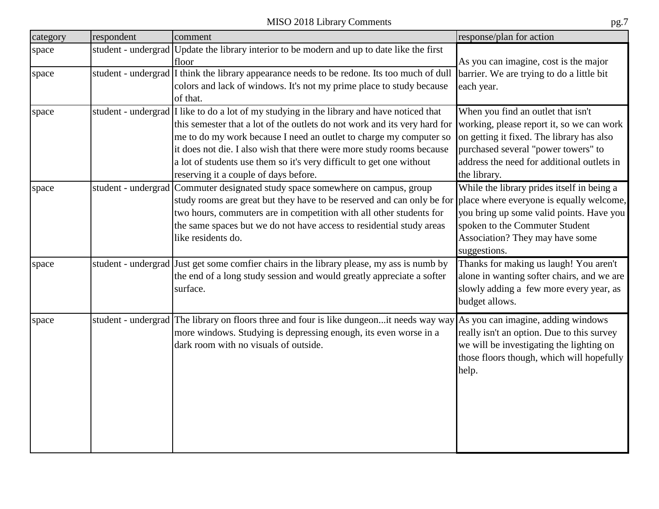| category | respondent | comment                                                                                                                                                                                                                                                                                                                                                                                                                                 | response/plan for action                                                                                                                                                                                                          |
|----------|------------|-----------------------------------------------------------------------------------------------------------------------------------------------------------------------------------------------------------------------------------------------------------------------------------------------------------------------------------------------------------------------------------------------------------------------------------------|-----------------------------------------------------------------------------------------------------------------------------------------------------------------------------------------------------------------------------------|
| space    |            | student - undergrad Update the library interior to be modern and up to date like the first<br>floor                                                                                                                                                                                                                                                                                                                                     | As you can imagine, cost is the major                                                                                                                                                                                             |
| space    |            | student - undergrad I think the library appearance needs to be redone. Its too much of dull<br>colors and lack of windows. It's not my prime place to study because<br>of that.                                                                                                                                                                                                                                                         | barrier. We are trying to do a little bit<br>each year.                                                                                                                                                                           |
| space    |            | student - undergrad I like to do a lot of my studying in the library and have noticed that<br>this semester that a lot of the outlets do not work and its very hard for<br>me to do my work because I need an outlet to charge my computer so<br>it does not die. I also wish that there were more study rooms because<br>a lot of students use them so it's very difficult to get one without<br>reserving it a couple of days before. | When you find an outlet that isn't<br>working, please report it, so we can work<br>on getting it fixed. The library has also<br>purchased several "power towers" to<br>address the need for additional outlets in<br>the library. |
| space    |            | student - undergrad Commuter designated study space somewhere on campus, group<br>study rooms are great but they have to be reserved and can only be for place where everyone is equally welcome,<br>two hours, commuters are in competition with all other students for<br>the same spaces but we do not have access to residential study areas<br>like residents do.                                                                  | While the library prides itself in being a<br>you bring up some valid points. Have you<br>spoken to the Commuter Student<br>Association? They may have some<br>suggestions.                                                       |
| space    |            | student - undergrad Just get some comfier chairs in the library please, my ass is numb by<br>the end of a long study session and would greatly appreciate a softer<br>surface.                                                                                                                                                                                                                                                          | Thanks for making us laugh! You aren't<br>alone in wanting softer chairs, and we are<br>slowly adding a few more every year, as<br>budget allows.                                                                                 |
| space    |            | student - undergrad The library on floors three and four is like dungeonit needs way way As you can imagine, adding windows<br>more windows. Studying is depressing enough, its even worse in a<br>dark room with no visuals of outside.                                                                                                                                                                                                | really isn't an option. Due to this survey<br>we will be investigating the lighting on<br>those floors though, which will hopefully<br>help.                                                                                      |